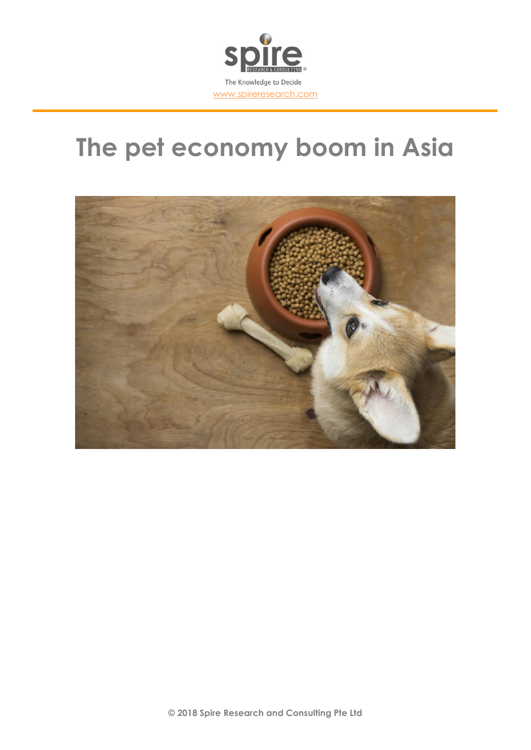

# **The pet economy boom in Asia**

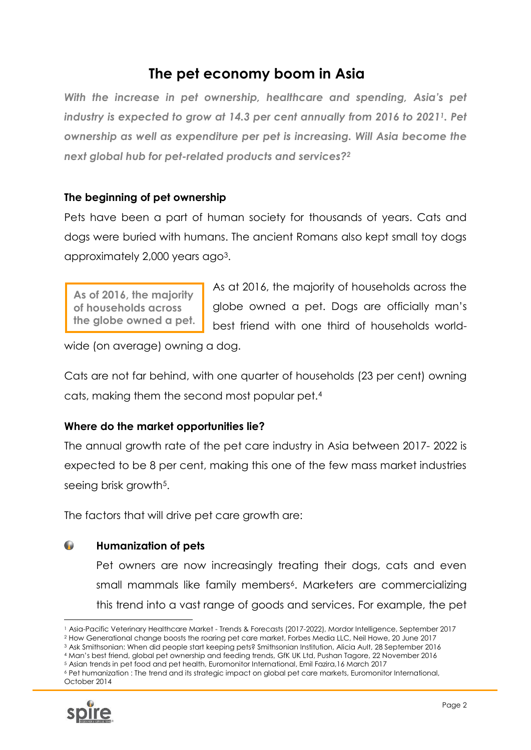# **The pet economy boom in Asia**

*With the increase in pet ownership, healthcare and spending, Asia's pet industry is expected to grow at 14.3 per cent annually from 2016 to 20211. Pet ownership as well as expenditure per pet is increasing. Will Asia become the next global hub for pet-related products and services?<sup>2</sup>*

# **The beginning of pet ownership**

Pets have been a part of human society for thousands of years. Cats and dogs were buried with humans. The ancient Romans also kept small toy dogs approximately 2,000 years ago3.

**As of 2016, the majority of households across the globe owned a pet.** As at 2016, the majority of households across the globe owned a pet. Dogs are officially man's best friend with one third of households world-

wide (on average) owning a dog.

Cats are not far behind, with one quarter of households (23 per cent) owning cats, making them the second most popular pet.<sup>4</sup>

# **Where do the market opportunities lie?**

The annual growth rate of the pet care industry in Asia between 2017- 2022 is expected to be 8 per cent, making this one of the few mass market industries seeing brisk growth<sup>5</sup>.

The factors that will drive pet care growth are:

#### $\bullet$ **Humanization of pets**

Pet owners are now increasingly treating their dogs, cats and even small mammals like family members<sup>6</sup>. Marketers are commercializing this trend into a vast range of goods and services. For example, the pet

<sup>4</sup> Man's best friend, global pet ownership and feeding trends, GfK UK Ltd, Pushan Tagore, 22 November 2016 <sup>5</sup> Asian trends in pet food and pet health, Euromonitor International, Emil Fazira,16 March 2017

<sup>6</sup> Pet humanization : The trend and its strategic impact on global pet care markets, Euromonitor International, October 2014



<sup>1</sup> Asia-Pacific Veterinary Healthcare Market - Trends & Forecasts (2017-2022), Mordor Intelligence, September 2017 <sup>2</sup> How Generational change boosts the roaring pet care market, Forbes Media LLC, Neil Howe, 20 June 2017

<sup>3</sup> Ask Smithsonian: When did people start keeping pets? Smithsonian Institution, Alicia Ault, 28 September 2016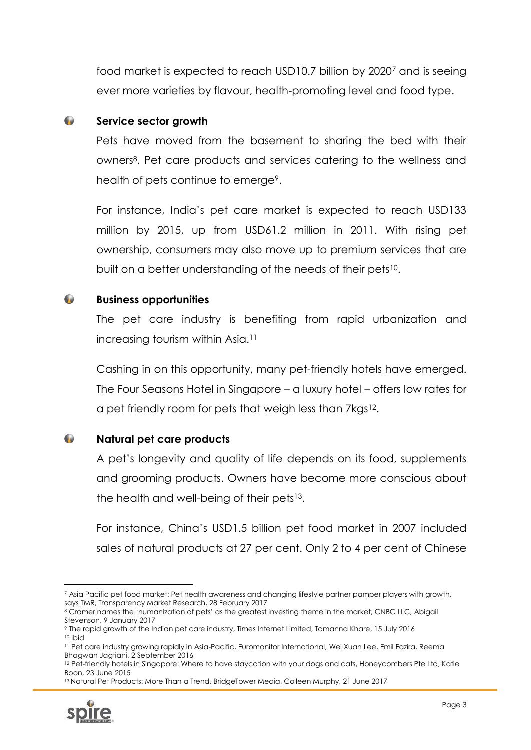food market is expected to reach USD10.7 billion by 2020<sup>7</sup> and is seeing ever more varieties by flavour, health-promoting level and food type.

#### $\bullet$ **Service sector growth**

Pets have moved from the basement to sharing the bed with their owners8. Pet care products and services catering to the wellness and health of pets continue to emerge<sup>9</sup>.

For instance, India's pet care market is expected to reach USD133 million by 2015, up from USD61.2 million in 2011. With rising pet ownership, consumers may also move up to premium services that are built on a better understanding of the needs of their pets<sup>10</sup>.

#### $\bullet$ **Business opportunities**

The pet care industry is benefiting from rapid urbanization and increasing tourism within Asia. 11

Cashing in on this opportunity, many pet-friendly hotels have emerged. The Four Seasons Hotel in Singapore – a luxury hotel – offers low rates for a pet friendly room for pets that weigh less than 7kgs <sup>12</sup>.

 $\bullet$ **Natural pet care products**

> A pet's longevity and quality of life depends on its food, supplements and grooming products. Owners have become more conscious about the health and well-being of their pets<sup>13</sup>.

> For instance, China's USD1.5 billion pet food market in 2007 included sales of natural products at 27 per cent. Only 2 to 4 per cent of Chinese

<sup>&</sup>lt;sup>13</sup> Natural Pet Products: More Than a Trend, BridgeTower Media, Colleen Murphy, 21 June 2017



<sup>1</sup> <sup>7</sup> Asia Pacific pet food market: Pet health awareness and changing lifestyle partner pamper players with growth, says TMR, Transparency Market Research, 28 February 2017

<sup>8</sup> Cramer names the 'humanization of pets' as the greatest investing theme in the market, CNBC LLC, Abigail Stevenson, 9 January 2017

<sup>9</sup> The rapid growth of the Indian pet care industry, Times Internet Limited, Tamanna Khare, 15 July 2016 <sup>10</sup> Ibid

<sup>11</sup> Pet care industry growing rapidly in Asia-Pacific, Euromonitor International, Wei Xuan Lee, Emil Fazira, Reema Bhagwan Jagtiani, 2 September 2016

<sup>&</sup>lt;sup>12</sup> Pet-friendly hotels in Singapore: Where to have staycation with your dogs and cats, Honeycombers Pte Ltd, Katie Boon, 23 June 2015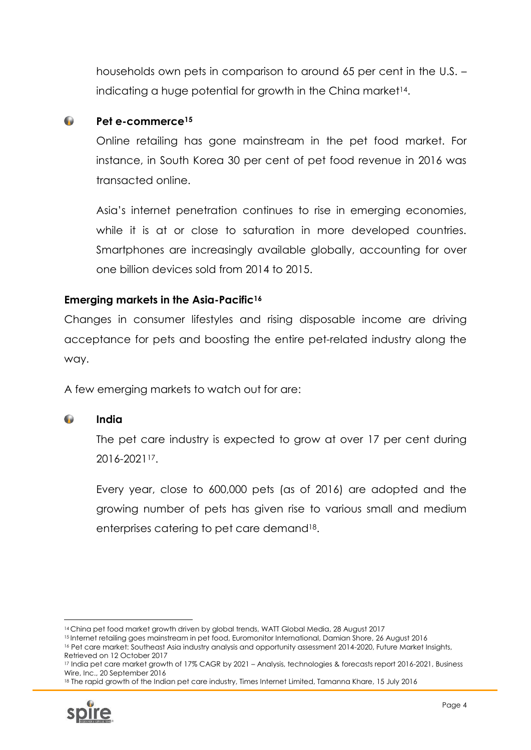households own pets in comparison to around 65 per cent in the U.S. – indicating a huge potential for growth in the China market<sup>14</sup>.

#### $\bullet$ **Pet e-commerce<sup>15</sup>**

Online retailing has gone mainstream in the pet food market. For instance, in South Korea 30 per cent of pet food revenue in 2016 was transacted online.

Asia's internet penetration continues to rise in emerging economies, while it is at or close to saturation in more developed countries. Smartphones are increasingly available globally, accounting for over one billion devices sold from 2014 to 2015.

# **Emerging markets in the Asia-Pacific<sup>16</sup>**

Changes in consumer lifestyles and rising disposable income are driving acceptance for pets and boosting the entire pet-related industry along the way.

A few emerging markets to watch out for are:

#### $\bullet$ **India**

The pet care industry is expected to grow at over 17 per cent during 2016-202117.

Every year, close to 600,000 pets (as of 2016) are adopted and the growing number of pets has given rise to various small and medium enterprises catering to pet care demand18.

<sup>18</sup> The rapid growth of the Indian pet care industry, Times Internet Limited, Tamanna Khare, 15 July 2016



<sup>14</sup> China pet food market growth driven by global trends, WATT Global Media, 28 August 2017

<sup>15</sup> Internet retailing goes mainstream in pet food, Euromonitor International, Damian Shore, 26 August 2016 <sup>16</sup> Pet care market: Southeast Asia industry analysis and opportunity assessment 2014-2020, Future Market Insights, Retrieved on 12 October 2017

<sup>17</sup> India pet care market growth of 17% CAGR by 2021 – Analysis, technologies & forecasts report 2016-2021, Business Wire, Inc., 20 September 2016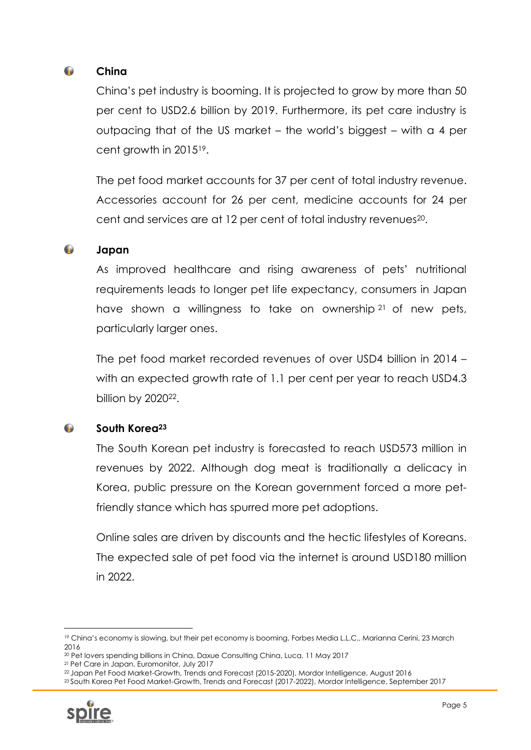#### $\mathbf{r}$ **China**

China's pet industry is booming. It is projected to grow by more than 50 per cent to USD2.6 billion by 2019. Furthermore, its pet care industry is outpacing that of the US market – the world's biggest – with a 4 per cent growth in 201519.

The pet food market accounts for 37 per cent of total industry revenue. Accessories account for 26 per cent, medicine accounts for 24 per cent and services are at 12 per cent of total industry revenues20.

#### $\bullet$ **Japan**

As improved healthcare and rising awareness of pets' nutritional requirements leads to longer pet life expectancy, consumers in Japan have shown a willingness to take on ownership <sup>21</sup> of new pets, particularly larger ones.

The pet food market recorded revenues of over USD4 billion in 2014 – with an expected growth rate of 1.1 per cent per year to reach USD4.3 billion by 2020<sup>22</sup>.

#### $\bullet$ **South Korea<sup>23</sup>**

The South Korean pet industry is forecasted to reach USD573 million in revenues by 2022. Although dog meat is traditionally a delicacy in Korea, public pressure on the Korean government forced a more petfriendly stance which has spurred more pet adoptions.

Online sales are driven by discounts and the hectic lifestyles of Koreans. The expected sale of pet food via the internet is around USD180 million in 2022.

<sup>23</sup> South Korea Pet Food Market-Growth, Trends and Forecast (2017-2022), Mordor Intelligence, September 2017



<sup>19</sup> China's economy is slowing, but their pet economy is booming, Forbes Media L.L.C., Marianna Cerini, 23 March 2016

<sup>20</sup> Pet lovers spending billions in China, Daxue Consulting China, Luca, 11 May 2017

<sup>21</sup> Pet Care in Japan, Euromonitor, July 2017

<sup>22</sup> Japan Pet Food Market-Growth, Trends and Forecast (2015-2020), Mordor Intelligence, August 2016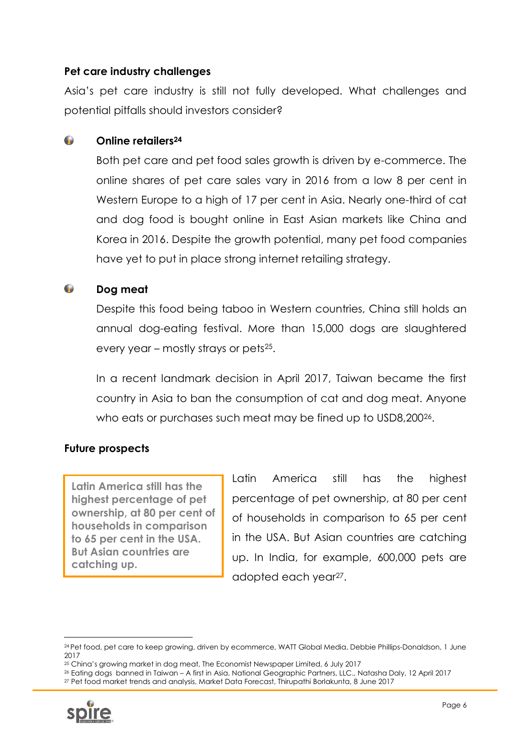# **Pet care industry challenges**

Asia's pet care industry is still not fully developed. What challenges and potential pitfalls should investors consider?

#### $\bullet$ **Online retailers<sup>24</sup>**

Both pet care and pet food sales growth is driven by e-commerce. The online shares of pet care sales vary in 2016 from a low 8 per cent in Western Europe to a high of 17 per cent in Asia. Nearly one-third of cat and dog food is bought online in East Asian markets like China and Korea in 2016. Despite the growth potential, many pet food companies have yet to put in place strong internet retailing strategy.

#### $\bullet$ **Dog meat**

Despite this food being taboo in Western countries, China still holds an annual dog-eating festival. More than 15,000 dogs are slaughtered every year – mostly strays or pets<sup>25</sup>.

In a recent landmark decision in April 2017, Taiwan became the first country in Asia to ban the consumption of cat and dog meat. Anyone who eats or purchases such meat may be fined up to USD8,200<sup>26</sup>.

# **Future prospects**

**Latin America still has the highest percentage of pet ownership, at 80 per cent of households in comparison to 65 per cent in the USA. But Asian countries are catching up.**

Latin America still has the highest percentage of pet ownership, at 80 per cent of households in comparison to 65 per cent in the USA. But Asian countries are catching up. In India, for example, 600,000 pets are adopted each year27.

<sup>27</sup> Pet food market trends and analysis, Market Data Forecast, Thirupathi Borlakunta, 8 June 2017



<sup>24</sup> Pet food, pet care to keep growing, driven by ecommerce, WATT Global Media, Debbie Phillips-Donaldson, 1 June 2017

<sup>25</sup> China's growing market in dog meat, The Economist Newspaper Limited, 6 July 2017

<sup>26</sup> Eating dogs banned in Taiwan – A first in Asia, National Geographic Partners, LLC., Natasha Daly, 12 April 2017